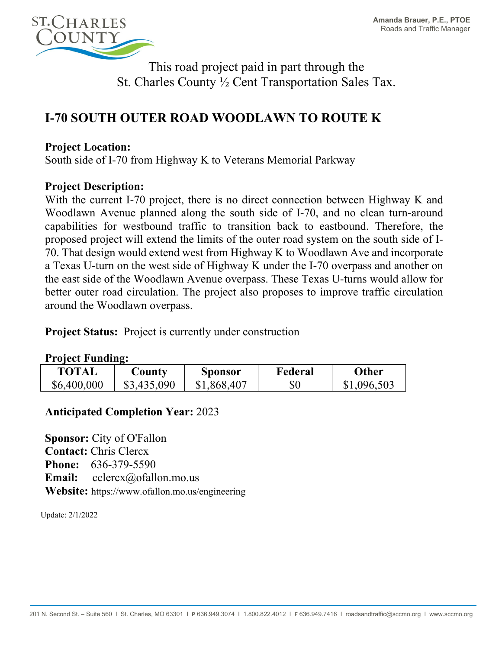

This road project paid in part through the St. Charles County ½ Cent Transportation Sales Tax.

# **I-70 SOUTH OUTER ROAD WOODLAWN TO ROUTE K**

### **Project Location:**

South side of I-70 from Highway K to Veterans Memorial Parkway

### **Project Description:**

With the current I-70 project, there is no direct connection between Highway K and Woodlawn Avenue planned along the south side of I-70, and no clean turn-around capabilities for westbound traffic to transition back to eastbound. Therefore, the proposed project will extend the limits of the outer road system on the south side of I-70. That design would extend west from Highway K to Woodlawn Ave and incorporate a Texas U-turn on the west side of Highway K under the I-70 overpass and another on the east side of the Woodlawn Avenue overpass. These Texas U-turns would allow for better outer road circulation. The project also proposes to improve traffic circulation around the Woodlawn overpass.

**Project Status:** Project is currently under construction

#### **Project Funding:**

| <b>TOTAL</b> | County      | Sponsor     | Federal | Other       |
|--------------|-------------|-------------|---------|-------------|
| \$6,400,000  | \$3,435,090 | \$1,868,407 | $\$0$   | \$1,096,503 |

## **Anticipated Completion Year:** 2023

**Sponsor:** City of O'Fallon **Contact:** Chris Clercx **Phone:** 636-379-5590 **Email:** cclercx@ofallon.mo.us **Website:** https://www.ofallon.mo.us/engineering

Update: 2/1/2022